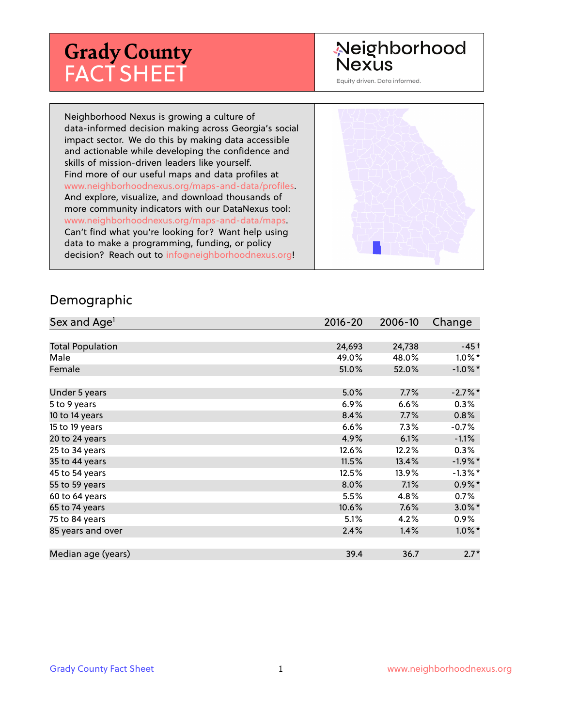# **Grady County** FACT SHEET

# Neighborhood Nexus

Equity driven. Data informed.

Neighborhood Nexus is growing a culture of data-informed decision making across Georgia's social impact sector. We do this by making data accessible and actionable while developing the confidence and skills of mission-driven leaders like yourself. Find more of our useful maps and data profiles at www.neighborhoodnexus.org/maps-and-data/profiles. And explore, visualize, and download thousands of more community indicators with our DataNexus tool: www.neighborhoodnexus.org/maps-and-data/maps. Can't find what you're looking for? Want help using data to make a programming, funding, or policy decision? Reach out to [info@neighborhoodnexus.org!](mailto:info@neighborhoodnexus.org)



#### Demographic

| Sex and Age <sup>1</sup> | $2016 - 20$ | 2006-10 | Change     |
|--------------------------|-------------|---------|------------|
|                          |             |         |            |
| <b>Total Population</b>  | 24,693      | 24,738  | $-45+$     |
| Male                     | 49.0%       | 48.0%   | $1.0\%$ *  |
| Female                   | 51.0%       | 52.0%   | $-1.0\%$ * |
|                          |             |         |            |
| Under 5 years            | 5.0%        | 7.7%    | $-2.7\%$ * |
| 5 to 9 years             | $6.9\%$     | 6.6%    | $0.3\%$    |
| 10 to 14 years           | 8.4%        | 7.7%    | 0.8%       |
| 15 to 19 years           | 6.6%        | 7.3%    | $-0.7%$    |
| 20 to 24 years           | 4.9%        | 6.1%    | $-1.1%$    |
| 25 to 34 years           | 12.6%       | 12.2%   | 0.3%       |
| 35 to 44 years           | 11.5%       | 13.4%   | $-1.9%$ *  |
| 45 to 54 years           | 12.5%       | 13.9%   | $-1.3%$ *  |
| 55 to 59 years           | 8.0%        | 7.1%    | $0.9\%$ *  |
| 60 to 64 years           | 5.5%        | 4.8%    | 0.7%       |
| 65 to 74 years           | 10.6%       | 7.6%    | $3.0\%$ *  |
| 75 to 84 years           | 5.1%        | 4.2%    | $0.9\%$    |
| 85 years and over        | 2.4%        | 1.4%    | $1.0\%$ *  |
|                          |             |         |            |
| Median age (years)       | 39.4        | 36.7    | $2.7*$     |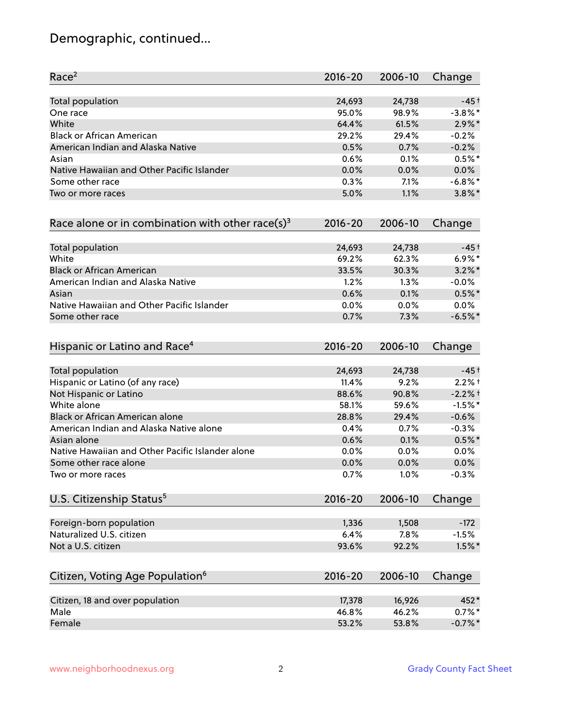# Demographic, continued...

| Race <sup>2</sup>                                            | $2016 - 20$ | 2006-10 | Change     |
|--------------------------------------------------------------|-------------|---------|------------|
| <b>Total population</b>                                      | 24,693      | 24,738  | $-45+$     |
| One race                                                     | 95.0%       | 98.9%   | $-3.8\%$ * |
| White                                                        | 64.4%       | 61.5%   | $2.9\%$ *  |
| <b>Black or African American</b>                             | 29.2%       | 29.4%   | $-0.2%$    |
| American Indian and Alaska Native                            | 0.5%        | 0.7%    | $-0.2%$    |
| Asian                                                        | 0.6%        | 0.1%    | $0.5%$ *   |
| Native Hawaiian and Other Pacific Islander                   | 0.0%        | 0.0%    | 0.0%       |
| Some other race                                              | 0.3%        | 7.1%    | $-6.8\%$ * |
| Two or more races                                            | 5.0%        | 1.1%    | $3.8\%$ *  |
| Race alone or in combination with other race(s) <sup>3</sup> | $2016 - 20$ | 2006-10 | Change     |
| Total population                                             | 24,693      | 24,738  | -45 †      |
| White                                                        | 69.2%       | 62.3%   | $6.9\%$ *  |
| <b>Black or African American</b>                             | 33.5%       | 30.3%   | $3.2\%$ *  |
| American Indian and Alaska Native                            | 1.2%        | 1.3%    | $-0.0%$    |
| Asian                                                        | 0.6%        | 0.1%    | $0.5%$ *   |
| Native Hawaiian and Other Pacific Islander                   | 0.0%        | 0.0%    | 0.0%       |
| Some other race                                              | 0.7%        | 7.3%    | $-6.5%$ *  |
| Hispanic or Latino and Race <sup>4</sup>                     | $2016 - 20$ | 2006-10 | Change     |
| Total population                                             | 24,693      | 24,738  | $-45+$     |
| Hispanic or Latino (of any race)                             | 11.4%       | 9.2%    | $2.2%$ +   |
| Not Hispanic or Latino                                       | 88.6%       | 90.8%   | $-2.2%$ †  |
| White alone                                                  | 58.1%       | 59.6%   | $-1.5%$ *  |
| Black or African American alone                              | 28.8%       | 29.4%   | $-0.6%$    |
| American Indian and Alaska Native alone                      | $0.4\%$     | 0.7%    | $-0.3%$    |
| Asian alone                                                  | 0.6%        | 0.1%    | $0.5%$ *   |
| Native Hawaiian and Other Pacific Islander alone             | 0.0%        | 0.0%    | 0.0%       |
| Some other race alone                                        | 0.0%        | 0.0%    | 0.0%       |
| Two or more races                                            | 0.7%        | 1.0%    | $-0.3%$    |
| U.S. Citizenship Status <sup>5</sup>                         | $2016 - 20$ | 2006-10 | Change     |
| Foreign-born population                                      | 1,336       | 1,508   | $-172$     |
| Naturalized U.S. citizen                                     | 6.4%        | 7.8%    | $-1.5%$    |
| Not a U.S. citizen                                           | 93.6%       | 92.2%   | $1.5\%$ *  |
| Citizen, Voting Age Population <sup>6</sup>                  | $2016 - 20$ | 2006-10 | Change     |
| Citizen, 18 and over population                              | 17,378      | 16,926  | 452*       |
| Male                                                         | 46.8%       | 46.2%   | $0.7\%$ *  |
| Female                                                       | 53.2%       | 53.8%   | $-0.7%$ *  |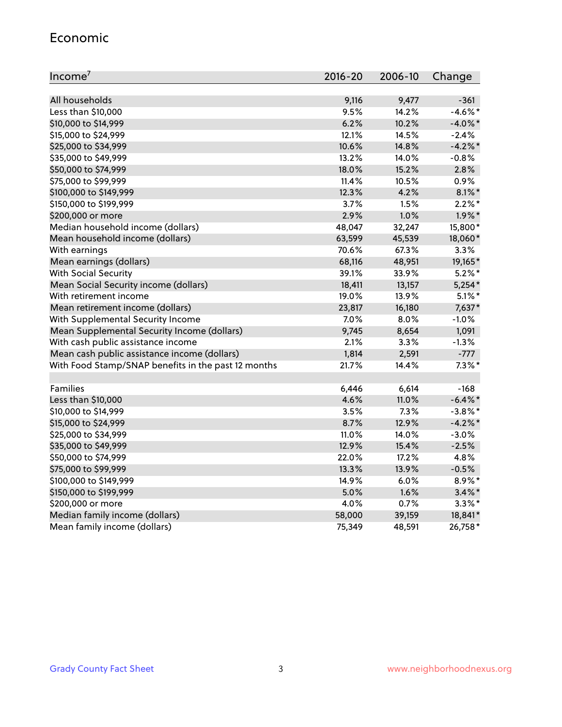#### Economic

| Income <sup>7</sup>                                 | $2016 - 20$ | 2006-10 | Change     |
|-----------------------------------------------------|-------------|---------|------------|
|                                                     |             |         |            |
| All households                                      | 9,116       | 9,477   | $-361$     |
| Less than \$10,000                                  | 9.5%        | 14.2%   | $-4.6\%$ * |
| \$10,000 to \$14,999                                | 6.2%        | 10.2%   | $-4.0\%$ * |
| \$15,000 to \$24,999                                | 12.1%       | 14.5%   | $-2.4%$    |
| \$25,000 to \$34,999                                | 10.6%       | 14.8%   | $-4.2%$ *  |
| \$35,000 to \$49,999                                | 13.2%       | 14.0%   | $-0.8%$    |
| \$50,000 to \$74,999                                | 18.0%       | 15.2%   | 2.8%       |
| \$75,000 to \$99,999                                | 11.4%       | 10.5%   | 0.9%       |
| \$100,000 to \$149,999                              | 12.3%       | 4.2%    | $8.1\%$ *  |
| \$150,000 to \$199,999                              | 3.7%        | 1.5%    | $2.2\%$ *  |
| \$200,000 or more                                   | 2.9%        | 1.0%    | $1.9\%$ *  |
| Median household income (dollars)                   | 48,047      | 32,247  | 15,800*    |
| Mean household income (dollars)                     | 63,599      | 45,539  | 18,060*    |
| With earnings                                       | 70.6%       | 67.3%   | 3.3%       |
| Mean earnings (dollars)                             | 68,116      | 48,951  | 19,165*    |
| <b>With Social Security</b>                         | 39.1%       | 33.9%   | $5.2\%$ *  |
| Mean Social Security income (dollars)               | 18,411      | 13,157  | $5,254*$   |
| With retirement income                              | 19.0%       | 13.9%   | $5.1\%$ *  |
| Mean retirement income (dollars)                    | 23,817      | 16,180  | 7,637*     |
| With Supplemental Security Income                   | 7.0%        | 8.0%    | $-1.0%$    |
| Mean Supplemental Security Income (dollars)         | 9,745       | 8,654   | 1,091      |
| With cash public assistance income                  | 2.1%        | 3.3%    | $-1.3%$    |
| Mean cash public assistance income (dollars)        | 1,814       | 2,591   | $-777$     |
| With Food Stamp/SNAP benefits in the past 12 months | 21.7%       | 14.4%   | $7.3\%$ *  |
|                                                     |             |         |            |
| <b>Families</b>                                     | 6,446       | 6,614   | $-168$     |
| Less than \$10,000                                  | 4.6%        | 11.0%   | $-6.4\%$ * |
| \$10,000 to \$14,999                                | 3.5%        | 7.3%    | $-3.8\%$ * |
| \$15,000 to \$24,999                                | 8.7%        | 12.9%   | $-4.2%$ *  |
| \$25,000 to \$34,999                                | 11.0%       | 14.0%   | $-3.0%$    |
| \$35,000 to \$49,999                                | 12.9%       | 15.4%   | $-2.5%$    |
| \$50,000 to \$74,999                                | 22.0%       | 17.2%   | 4.8%       |
| \$75,000 to \$99,999                                | 13.3%       | 13.9%   | $-0.5%$    |
| \$100,000 to \$149,999                              | 14.9%       | 6.0%    | 8.9%*      |
| \$150,000 to \$199,999                              | 5.0%        | 1.6%    | $3.4\%$ *  |
| \$200,000 or more                                   | 4.0%        | 0.7%    | $3.3\%$ *  |
| Median family income (dollars)                      | 58,000      | 39,159  | 18,841*    |
| Mean family income (dollars)                        | 75,349      | 48,591  | 26,758*    |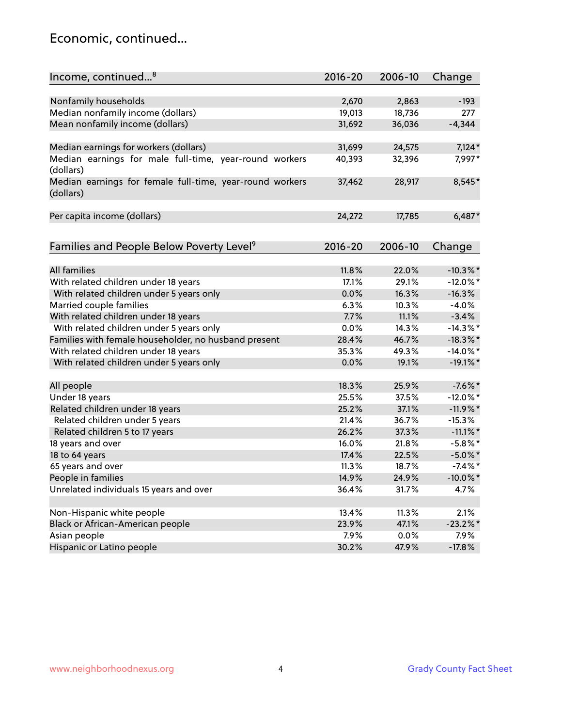### Economic, continued...

| Income, continued <sup>8</sup>                                        | $2016 - 20$ | 2006-10 | Change      |
|-----------------------------------------------------------------------|-------------|---------|-------------|
|                                                                       |             |         |             |
| Nonfamily households                                                  | 2,670       | 2,863   | $-193$      |
| Median nonfamily income (dollars)                                     | 19,013      | 18,736  | 277         |
| Mean nonfamily income (dollars)                                       | 31,692      | 36,036  | $-4,344$    |
| Median earnings for workers (dollars)                                 | 31,699      | 24,575  | $7,124*$    |
| Median earnings for male full-time, year-round workers                | 40,393      | 32,396  | 7,997*      |
| (dollars)                                                             |             |         |             |
| Median earnings for female full-time, year-round workers<br>(dollars) | 37,462      | 28,917  | 8,545*      |
| Per capita income (dollars)                                           | 24,272      | 17,785  | $6,487*$    |
|                                                                       |             |         |             |
| Families and People Below Poverty Level <sup>9</sup>                  | $2016 - 20$ | 2006-10 | Change      |
| <b>All families</b>                                                   | 11.8%       | 22.0%   | $-10.3\%$ * |
|                                                                       |             |         |             |
| With related children under 18 years                                  | 17.1%       | 29.1%   | $-12.0\%$ * |
| With related children under 5 years only                              | 0.0%        | 16.3%   | $-16.3%$    |
| Married couple families                                               | 6.3%        | 10.3%   | $-4.0%$     |
| With related children under 18 years                                  | 7.7%        | 11.1%   | $-3.4%$     |
| With related children under 5 years only                              | 0.0%        | 14.3%   | $-14.3\%$ * |
| Families with female householder, no husband present                  | 28.4%       | 46.7%   | $-18.3\%$ * |
| With related children under 18 years                                  | 35.3%       | 49.3%   | $-14.0\%$ * |
| With related children under 5 years only                              | 0.0%        | 19.1%   | $-19.1\%$ * |
| All people                                                            | 18.3%       | 25.9%   | $-7.6\%$ *  |
| Under 18 years                                                        | 25.5%       | 37.5%   | $-12.0\%$ * |
| Related children under 18 years                                       | 25.2%       | 37.1%   | $-11.9%$ *  |
| Related children under 5 years                                        | 21.4%       | 36.7%   | $-15.3%$    |
| Related children 5 to 17 years                                        | 26.2%       | 37.3%   | $-11.1\%$ * |
| 18 years and over                                                     | 16.0%       | 21.8%   | $-5.8\%$ *  |
| 18 to 64 years                                                        | 17.4%       | 22.5%   | $-5.0\%$ *  |
| 65 years and over                                                     | 11.3%       | 18.7%   | $-7.4\%$ *  |
| People in families                                                    | 14.9%       | 24.9%   | $-10.0\%$ * |
| Unrelated individuals 15 years and over                               | 36.4%       | 31.7%   | 4.7%        |
|                                                                       |             |         |             |
| Non-Hispanic white people                                             | 13.4%       | 11.3%   | 2.1%        |
| Black or African-American people                                      | 23.9%       | 47.1%   | $-23.2\%$ * |
| Asian people                                                          | 7.9%        | 0.0%    | 7.9%        |
| Hispanic or Latino people                                             | 30.2%       | 47.9%   | $-17.8%$    |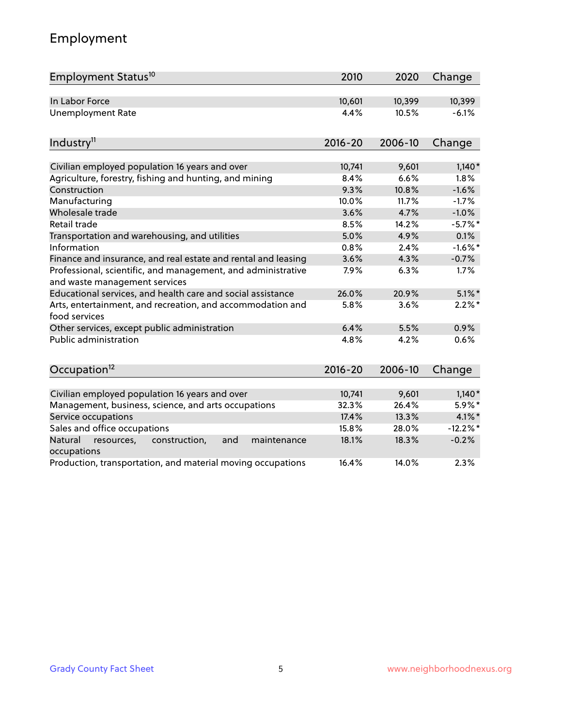# Employment

| Employment Status <sup>10</sup>                                                               | 2010        | 2020    | Change     |
|-----------------------------------------------------------------------------------------------|-------------|---------|------------|
| In Labor Force                                                                                | 10,601      | 10,399  | 10,399     |
| <b>Unemployment Rate</b>                                                                      | 4.4%        | 10.5%   | $-6.1%$    |
| Industry <sup>11</sup>                                                                        | $2016 - 20$ | 2006-10 | Change     |
| Civilian employed population 16 years and over                                                | 10,741      | 9,601   | $1,140*$   |
| Agriculture, forestry, fishing and hunting, and mining                                        | 8.4%        | 6.6%    | 1.8%       |
| Construction                                                                                  | 9.3%        | 10.8%   | $-1.6%$    |
| Manufacturing                                                                                 | 10.0%       | 11.7%   | $-1.7%$    |
| Wholesale trade                                                                               | 3.6%        | 4.7%    | $-1.0%$    |
| Retail trade                                                                                  | 8.5%        | 14.2%   | $-5.7%$ *  |
| Transportation and warehousing, and utilities                                                 | 5.0%        | 4.9%    | 0.1%       |
| Information                                                                                   | 0.8%        | 2.4%    | $-1.6\%$ * |
| Finance and insurance, and real estate and rental and leasing                                 | 3.6%        | 4.3%    | $-0.7%$    |
| Professional, scientific, and management, and administrative<br>and waste management services | 7.9%        | 6.3%    | 1.7%       |
| Educational services, and health care and social assistance                                   | 26.0%       | 20.9%   | $5.1\%$ *  |
| Arts, entertainment, and recreation, and accommodation and<br>food services                   | 5.8%        | 3.6%    | $2.2\%$ *  |
| Other services, except public administration                                                  | 6.4%        | 5.5%    | 0.9%       |
| Public administration                                                                         | 4.8%        | 4.2%    | 0.6%       |
| Occupation <sup>12</sup>                                                                      | $2016 - 20$ | 2006-10 | Change     |
|                                                                                               |             |         |            |
| Civilian employed population 16 years and over                                                | 10,741      | 9,601   | $1,140*$   |
| Management, business, science, and arts occupations                                           | 32.3%       | 26.4%   | 5.9%*      |
| Service occupations                                                                           | 17.4%       | 13.3%   | $4.1\%$ *  |
| Sales and office occupations                                                                  | 15.8%       | 28.0%   | $-12.2%$ * |
| Natural<br>resources,<br>construction,<br>maintenance<br>and<br>occupations                   | 18.1%       | 18.3%   | $-0.2%$    |
| Production, transportation, and material moving occupations                                   | 16.4%       | 14.0%   | 2.3%       |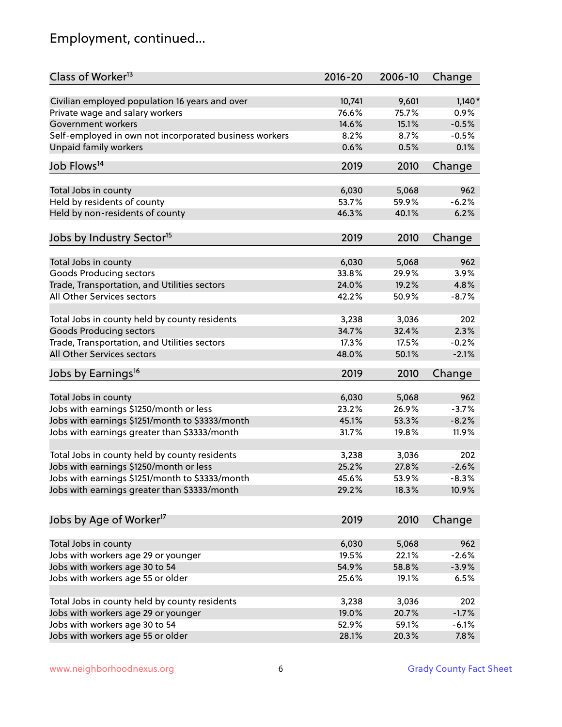# Employment, continued...

| Class of Worker <sup>13</sup>                          | $2016 - 20$    | 2006-10        | Change   |
|--------------------------------------------------------|----------------|----------------|----------|
| Civilian employed population 16 years and over         | 10,741         | 9,601          | $1,140*$ |
| Private wage and salary workers                        | 76.6%          | 75.7%          | 0.9%     |
| Government workers                                     | 14.6%          | 15.1%          | $-0.5%$  |
| Self-employed in own not incorporated business workers | 8.2%           | 8.7%           | $-0.5%$  |
| Unpaid family workers                                  | 0.6%           | 0.5%           | 0.1%     |
| Job Flows <sup>14</sup>                                | 2019           | 2010           | Change   |
|                                                        |                |                |          |
| Total Jobs in county                                   | 6,030          | 5,068          | 962      |
| Held by residents of county                            | 53.7%          | 59.9%          | $-6.2%$  |
| Held by non-residents of county                        | 46.3%          | 40.1%          | 6.2%     |
| Jobs by Industry Sector <sup>15</sup>                  | 2019           | 2010           | Change   |
| Total Jobs in county                                   | 6,030          | 5,068          | 962      |
| <b>Goods Producing sectors</b>                         | 33.8%          | 29.9%          | 3.9%     |
| Trade, Transportation, and Utilities sectors           | 24.0%          | 19.2%          | 4.8%     |
| All Other Services sectors                             | 42.2%          | 50.9%          | $-8.7%$  |
|                                                        |                |                |          |
| Total Jobs in county held by county residents          | 3,238          | 3,036          | 202      |
| <b>Goods Producing sectors</b>                         | 34.7%          | 32.4%          | 2.3%     |
| Trade, Transportation, and Utilities sectors           | 17.3%          | 17.5%          | $-0.2%$  |
| All Other Services sectors                             | 48.0%          | 50.1%          | $-2.1%$  |
| Jobs by Earnings <sup>16</sup>                         | 2019           | 2010           | Change   |
|                                                        |                |                |          |
| Total Jobs in county                                   | 6,030<br>23.2% | 5,068<br>26.9% | 962      |
| Jobs with earnings \$1250/month or less                |                |                | $-3.7%$  |
| Jobs with earnings \$1251/month to \$3333/month        | 45.1%          | 53.3%          | $-8.2%$  |
| Jobs with earnings greater than \$3333/month           | 31.7%          | 19.8%          | 11.9%    |
| Total Jobs in county held by county residents          | 3,238          | 3,036          | 202      |
| Jobs with earnings \$1250/month or less                | 25.2%          | 27.8%          | $-2.6%$  |
| Jobs with earnings \$1251/month to \$3333/month        | 45.6%          | 53.9%          | $-8.3\%$ |
| Jobs with earnings greater than \$3333/month           | 29.2%          | 18.3%          | 10.9%    |
| Jobs by Age of Worker <sup>17</sup>                    | 2019           | 2010           | Change   |
|                                                        |                |                |          |
| Total Jobs in county                                   | 6,030          | 5,068          | 962      |
| Jobs with workers age 29 or younger                    | 19.5%          | 22.1%          | $-2.6%$  |
| Jobs with workers age 30 to 54                         | 54.9%          | 58.8%          | $-3.9%$  |
| Jobs with workers age 55 or older                      | 25.6%          | 19.1%          | 6.5%     |
| Total Jobs in county held by county residents          | 3,238          | 3,036          | 202      |
| Jobs with workers age 29 or younger                    | 19.0%          | 20.7%          | $-1.7%$  |
| Jobs with workers age 30 to 54                         | 52.9%          | 59.1%          | $-6.1%$  |
| Jobs with workers age 55 or older                      | 28.1%          | 20.3%          | 7.8%     |
|                                                        |                |                |          |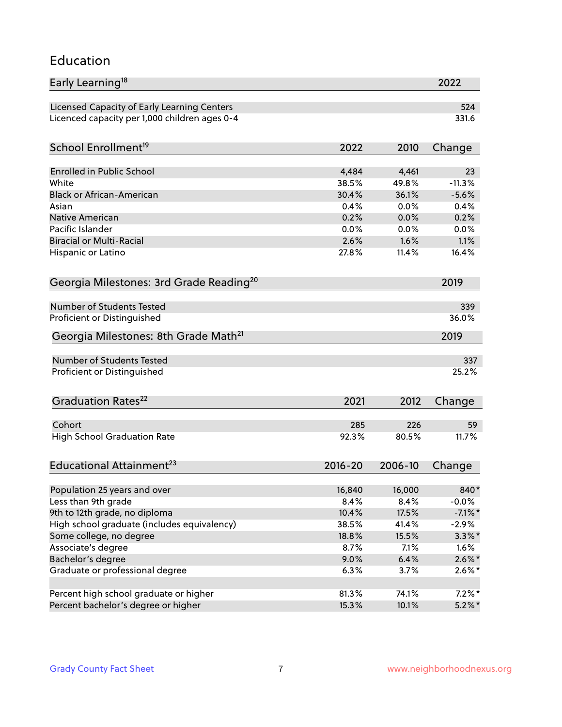#### Education

| Early Learning <sup>18</sup>                        |             |         | 2022       |
|-----------------------------------------------------|-------------|---------|------------|
| Licensed Capacity of Early Learning Centers         |             |         | 524        |
| Licenced capacity per 1,000 children ages 0-4       |             |         | 331.6      |
| School Enrollment <sup>19</sup>                     | 2022        | 2010    | Change     |
|                                                     |             |         |            |
| <b>Enrolled in Public School</b>                    | 4,484       | 4,461   | 23         |
| White                                               | 38.5%       | 49.8%   | $-11.3%$   |
| <b>Black or African-American</b>                    | 30.4%       | 36.1%   | $-5.6%$    |
| Asian                                               | 0.4%        | 0.0%    | 0.4%       |
| Native American                                     | 0.2%        | 0.0%    | 0.2%       |
| Pacific Islander                                    | 0.0%        | 0.0%    | 0.0%       |
| <b>Biracial or Multi-Racial</b>                     | 2.6%        | 1.6%    | 1.1%       |
| Hispanic or Latino                                  | 27.8%       | 11.4%   | 16.4%      |
| Georgia Milestones: 3rd Grade Reading <sup>20</sup> |             |         | 2019       |
|                                                     |             |         |            |
| Number of Students Tested                           |             |         | 339        |
| Proficient or Distinguished                         |             |         | 36.0%      |
| Georgia Milestones: 8th Grade Math <sup>21</sup>    |             |         | 2019       |
| Number of Students Tested                           |             |         | 337        |
|                                                     |             |         | 25.2%      |
| Proficient or Distinguished                         |             |         |            |
| Graduation Rates <sup>22</sup>                      | 2021        | 2012    | Change     |
| Cohort                                              | 285         | 226     | 59         |
| <b>High School Graduation Rate</b>                  | 92.3%       | 80.5%   | 11.7%      |
|                                                     |             |         |            |
| Educational Attainment <sup>23</sup>                | $2016 - 20$ | 2006-10 | Change     |
| Population 25 years and over                        | 16,840      | 16,000  | 840*       |
| Less than 9th grade                                 | 8.4%        | 8.4%    | $-0.0%$    |
| 9th to 12th grade, no diploma                       | 10.4%       | 17.5%   | $-7.1\%$ * |
| High school graduate (includes equivalency)         | 38.5%       | 41.4%   | $-2.9%$    |
| Some college, no degree                             | 18.8%       | 15.5%   | $3.3\%$ *  |
| Associate's degree                                  | 8.7%        | 7.1%    | 1.6%       |
| Bachelor's degree                                   | 9.0%        | 6.4%    | $2.6\%$ *  |
| Graduate or professional degree                     | 6.3%        | 3.7%    |            |
|                                                     |             |         | $2.6\%*$   |
| Percent high school graduate or higher              | 81.3%       | 74.1%   | $7.2\%*$   |
| Percent bachelor's degree or higher                 | 15.3%       | 10.1%   | $5.2\%$ *  |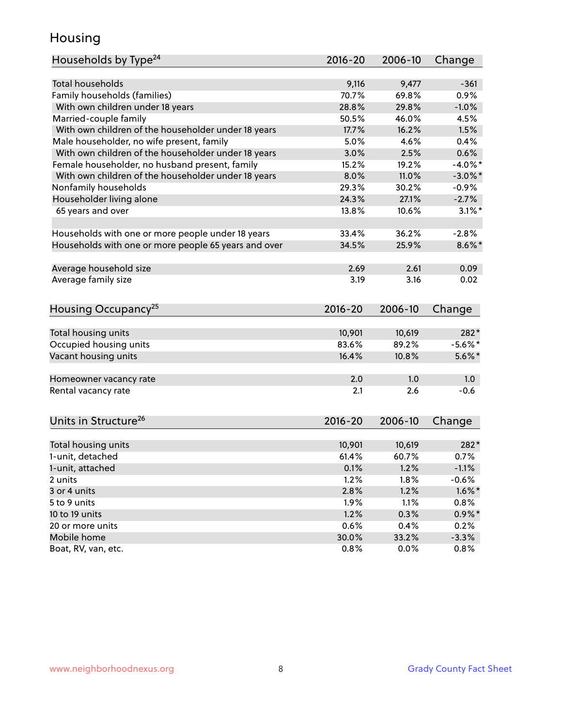### Housing

| Households by Type <sup>24</sup>                     | 2016-20     | 2006-10 | Change     |
|------------------------------------------------------|-------------|---------|------------|
|                                                      |             |         |            |
| <b>Total households</b>                              | 9,116       | 9,477   | $-361$     |
| Family households (families)                         | 70.7%       | 69.8%   | 0.9%       |
| With own children under 18 years                     | 28.8%       | 29.8%   | $-1.0%$    |
| Married-couple family                                | 50.5%       | 46.0%   | 4.5%       |
| With own children of the householder under 18 years  | 17.7%       | 16.2%   | 1.5%       |
| Male householder, no wife present, family            | 5.0%        | 4.6%    | 0.4%       |
| With own children of the householder under 18 years  | 3.0%        | 2.5%    | 0.6%       |
| Female householder, no husband present, family       | 15.2%       | 19.2%   | $-4.0\%$ * |
| With own children of the householder under 18 years  | 8.0%        | 11.0%   | $-3.0\%$ * |
| Nonfamily households                                 | 29.3%       | 30.2%   | $-0.9%$    |
| Householder living alone                             | 24.3%       | 27.1%   | $-2.7%$    |
| 65 years and over                                    | 13.8%       | 10.6%   | $3.1\%$ *  |
| Households with one or more people under 18 years    | 33.4%       | 36.2%   | $-2.8%$    |
| Households with one or more people 65 years and over | 34.5%       | 25.9%   | $8.6\%$ *  |
|                                                      |             |         |            |
| Average household size                               | 2.69        | 2.61    | 0.09       |
| Average family size                                  | 3.19        | 3.16    | 0.02       |
| Housing Occupancy <sup>25</sup>                      | $2016 - 20$ | 2006-10 | Change     |
|                                                      |             |         |            |
| Total housing units                                  | 10,901      | 10,619  | 282*       |
| Occupied housing units                               | 83.6%       | 89.2%   | $-5.6\%$ * |
| Vacant housing units                                 | 16.4%       | 10.8%   | $5.6\%$ *  |
| Homeowner vacancy rate                               | 2.0         | 1.0     | 1.0        |
| Rental vacancy rate                                  | 2.1         | 2.6     | $-0.6$     |
| Units in Structure <sup>26</sup>                     | $2016 - 20$ | 2006-10 | Change     |
|                                                      |             |         |            |
| Total housing units                                  | 10,901      | 10,619  | 282*       |
| 1-unit, detached                                     | 61.4%       | 60.7%   | 0.7%       |
| 1-unit, attached                                     | 0.1%        | 1.2%    | $-1.1%$    |
| 2 units                                              | 1.2%        | 1.8%    | $-0.6%$    |
| 3 or 4 units                                         | 2.8%        | 1.2%    | $1.6\%$ *  |
| 5 to 9 units                                         | 1.9%        | 1.1%    | 0.8%       |
| 10 to 19 units                                       | 1.2%        | 0.3%    | $0.9\% *$  |
| 20 or more units                                     | 0.6%        | 0.4%    | 0.2%       |
| Mobile home                                          | 30.0%       | 33.2%   | $-3.3%$    |
| Boat, RV, van, etc.                                  | 0.8%        | 0.0%    | 0.8%       |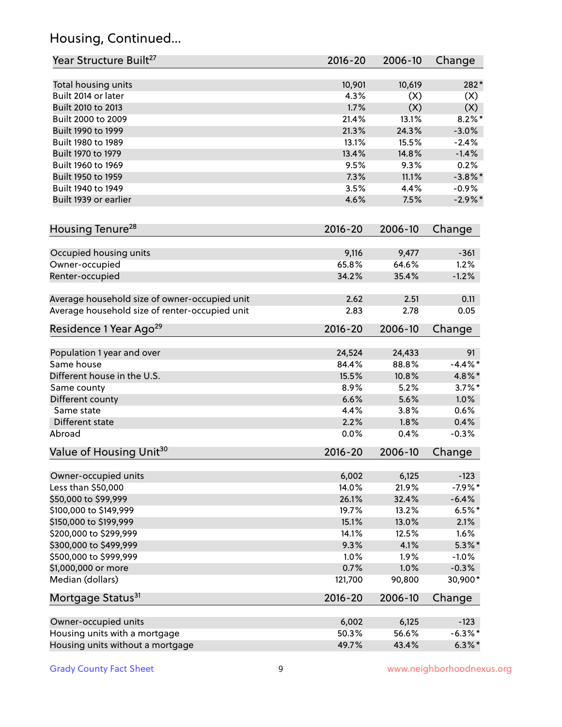# Housing, Continued...

| Year Structure Built <sup>27</sup>             | 2016-20     | 2006-10 | Change     |
|------------------------------------------------|-------------|---------|------------|
| Total housing units                            | 10,901      | 10,619  | 282*       |
| Built 2014 or later                            | 4.3%        | (X)     | (X)        |
| Built 2010 to 2013                             | 1.7%        | (X)     | (X)        |
| Built 2000 to 2009                             | 21.4%       | 13.1%   | $8.2\%$ *  |
| Built 1990 to 1999                             | 21.3%       | 24.3%   | $-3.0%$    |
| Built 1980 to 1989                             | 13.1%       | 15.5%   | $-2.4%$    |
| Built 1970 to 1979                             | 13.4%       | 14.8%   | $-1.4%$    |
| Built 1960 to 1969                             | 9.5%        | 9.3%    | 0.2%       |
| Built 1950 to 1959                             | 7.3%        | 11.1%   | $-3.8\%$ * |
| Built 1940 to 1949                             | 3.5%        | 4.4%    | $-0.9%$    |
| Built 1939 or earlier                          | 4.6%        | 7.5%    | $-2.9\%$ * |
| Housing Tenure <sup>28</sup>                   | $2016 - 20$ | 2006-10 | Change     |
|                                                |             |         |            |
| Occupied housing units                         | 9,116       | 9,477   | $-361$     |
| Owner-occupied                                 | 65.8%       | 64.6%   | 1.2%       |
| Renter-occupied                                | 34.2%       | 35.4%   | $-1.2%$    |
| Average household size of owner-occupied unit  | 2.62        | 2.51    | 0.11       |
| Average household size of renter-occupied unit | 2.83        | 2.78    | 0.05       |
| Residence 1 Year Ago <sup>29</sup>             | 2016-20     | 2006-10 | Change     |
| Population 1 year and over                     | 24,524      | 24,433  | 91         |
| Same house                                     | 84.4%       | 88.8%   | $-4.4\%$ * |
| Different house in the U.S.                    | 15.5%       | 10.8%   | 4.8%*      |
| Same county                                    | 8.9%        | 5.2%    | $3.7\%$ *  |
| Different county                               | 6.6%        | 5.6%    | 1.0%       |
| Same state                                     | 4.4%        | 3.8%    | 0.6%       |
| Different state                                | 2.2%        | 1.8%    | 0.4%       |
| Abroad                                         | 0.0%        | 0.4%    | $-0.3%$    |
| Value of Housing Unit <sup>30</sup>            | 2016-20     | 2006-10 | Change     |
|                                                |             |         |            |
| Owner-occupied units                           | 6,002       | 6,125   | $-123$     |
| Less than \$50,000                             | 14.0%       | 21.9%   | $-7.9%$ *  |
| \$50,000 to \$99,999                           | 26.1%       | 32.4%   | $-6.4%$    |
| \$100,000 to \$149,999                         | 19.7%       | 13.2%   | $6.5%$ *   |
| \$150,000 to \$199,999                         | 15.1%       | 13.0%   | 2.1%       |
| \$200,000 to \$299,999                         | 14.1%       | 12.5%   | 1.6%       |
| \$300,000 to \$499,999                         | 9.3%        | 4.1%    | $5.3\%$ *  |
| \$500,000 to \$999,999                         | 1.0%        | 1.9%    | $-1.0%$    |
| \$1,000,000 or more                            | 0.7%        | 1.0%    | $-0.3%$    |
| Median (dollars)                               | 121,700     | 90,800  | 30,900*    |
| Mortgage Status <sup>31</sup>                  | $2016 - 20$ | 2006-10 | Change     |
| Owner-occupied units                           | 6,002       | 6,125   | $-123$     |
| Housing units with a mortgage                  | 50.3%       | 56.6%   | $-6.3\%$ * |
| Housing units without a mortgage               | 49.7%       | 43.4%   | $6.3\% *$  |
|                                                |             |         |            |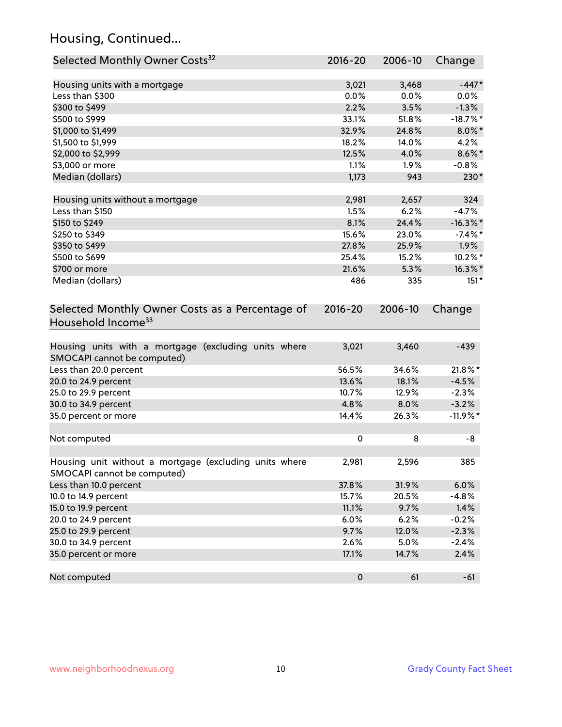# Housing, Continued...

| Selected Monthly Owner Costs <sup>32</sup>                                            | 2016-20   | 2006-10 | Change      |
|---------------------------------------------------------------------------------------|-----------|---------|-------------|
| Housing units with a mortgage                                                         | 3,021     | 3,468   | $-447*$     |
| Less than \$300                                                                       | 0.0%      | 0.0%    | $0.0\%$     |
| \$300 to \$499                                                                        | 2.2%      | 3.5%    | $-1.3%$     |
| \$500 to \$999                                                                        | 33.1%     | 51.8%   | $-18.7\%$ * |
| \$1,000 to \$1,499                                                                    | 32.9%     | 24.8%   | $8.0\%$ *   |
| \$1,500 to \$1,999                                                                    | 18.2%     | 14.0%   | 4.2%        |
| \$2,000 to \$2,999                                                                    | 12.5%     | 4.0%    | $8.6\%$ *   |
| \$3,000 or more                                                                       | 1.1%      | 1.9%    | $-0.8%$     |
| Median (dollars)                                                                      | 1,173     | 943     | 230*        |
| Housing units without a mortgage                                                      | 2,981     | 2,657   | 324         |
| Less than \$150                                                                       | 1.5%      | 6.2%    | $-4.7%$     |
| \$150 to \$249                                                                        | 8.1%      | 24.4%   | $-16.3\%$ * |
| \$250 to \$349                                                                        | 15.6%     | 23.0%   | $-7.4%$ *   |
| \$350 to \$499                                                                        | 27.8%     | 25.9%   | 1.9%        |
| \$500 to \$699                                                                        | 25.4%     | 15.2%   | 10.2%*      |
| \$700 or more                                                                         | 21.6%     | 5.3%    | 16.3%*      |
| Median (dollars)                                                                      | 486       | 335     | $151*$      |
| Household Income <sup>33</sup>                                                        |           |         |             |
| Housing units with a mortgage (excluding units where<br>SMOCAPI cannot be computed)   | 3,021     | 3,460   | $-439$      |
| Less than 20.0 percent                                                                | 56.5%     | 34.6%   | 21.8%*      |
| 20.0 to 24.9 percent                                                                  | 13.6%     | 18.1%   | $-4.5%$     |
| 25.0 to 29.9 percent                                                                  | 10.7%     | 12.9%   | $-2.3%$     |
| 30.0 to 34.9 percent                                                                  | 4.8%      | 8.0%    | $-3.2%$     |
| 35.0 percent or more                                                                  | 14.4%     | 26.3%   | $-11.9%$ *  |
| Not computed                                                                          | $\pmb{0}$ | 8       | -8          |
| Housing unit without a mortgage (excluding units where<br>SMOCAPI cannot be computed) | 2,981     | 2,596   | 385         |
| Less than 10.0 percent                                                                | 37.8%     | 31.9%   | 6.0%        |
| 10.0 to 14.9 percent                                                                  | 15.7%     | 20.5%   | $-4.8%$     |
| 15.0 to 19.9 percent                                                                  | 11.1%     | 9.7%    | 1.4%        |
| 20.0 to 24.9 percent                                                                  | 6.0%      | 6.2%    | $-0.2%$     |
| 25.0 to 29.9 percent                                                                  | 9.7%      | 12.0%   | $-2.3%$     |
| 30.0 to 34.9 percent                                                                  | 2.6%      | 5.0%    | $-2.4%$     |
| 35.0 percent or more                                                                  | 17.1%     | 14.7%   | 2.4%        |
| Not computed                                                                          | $\pmb{0}$ | 61      | $-61$       |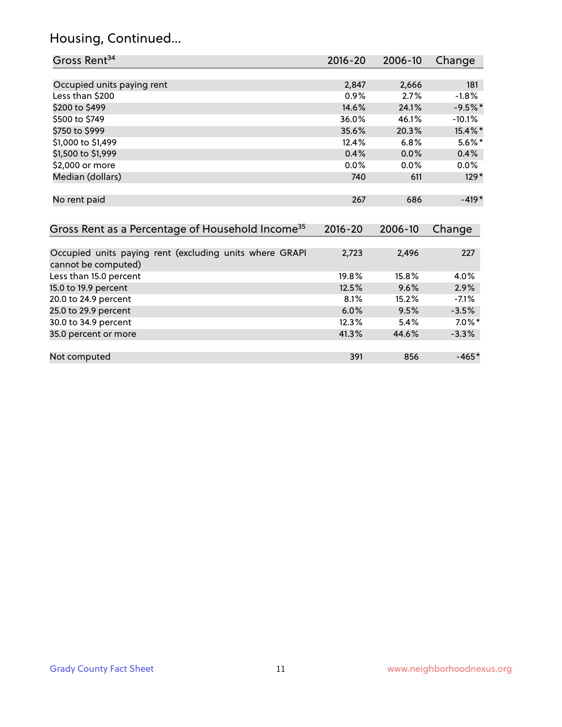# Housing, Continued...

| Gross Rent <sup>34</sup>                                                       | 2016-20     | 2006-10 | Change    |
|--------------------------------------------------------------------------------|-------------|---------|-----------|
|                                                                                |             |         |           |
| Occupied units paying rent                                                     | 2,847       | 2,666   | 181       |
| Less than \$200                                                                | 0.9%        | 2.7%    | $-1.8%$   |
| \$200 to \$499                                                                 | 14.6%       | 24.1%   | $-9.5%$ * |
| \$500 to \$749                                                                 | 36.0%       | 46.1%   | $-10.1\%$ |
| \$750 to \$999                                                                 | 35.6%       | 20.3%   | 15.4%*    |
| \$1,000 to \$1,499                                                             | 12.4%       | 6.8%    | $5.6\%$ * |
| \$1,500 to \$1,999                                                             | 0.4%        | 0.0%    | 0.4%      |
| \$2,000 or more                                                                | 0.0%        | 0.0%    | $0.0\%$   |
| Median (dollars)                                                               | 740         | 611     | $129*$    |
| No rent paid                                                                   | 267         | 686     | $-419*$   |
| Gross Rent as a Percentage of Household Income <sup>35</sup>                   | $2016 - 20$ | 2006-10 | Change    |
| Occupied units paying rent (excluding units where GRAPI<br>cannot be computed) | 2,723       | 2,496   | 227       |
| Less than 15.0 percent                                                         | 19.8%       | 15.8%   | 4.0%      |
| 15.0 to 19.9 percent                                                           | 12.5%       | 9.6%    | 2.9%      |
| 20.0 to 24.9 percent                                                           | 8.1%        | 15.2%   | $-7.1%$   |
| 25.0 to 29.9 percent                                                           | 6.0%        | 9.5%    | $-3.5%$   |
| 30.0 to 34.9 percent                                                           | 12.3%       | 5.4%    | $7.0\%$ * |
| 35.0 percent or more                                                           | 41.3%       | 44.6%   | $-3.3%$   |
| Not computed                                                                   | 391         | 856     | $-465*$   |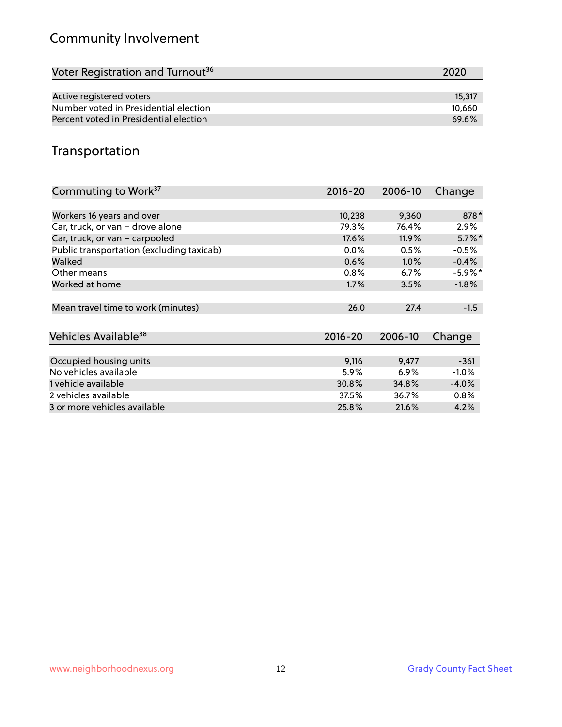# Community Involvement

| Voter Registration and Turnout <sup>36</sup> | 2020   |
|----------------------------------------------|--------|
|                                              |        |
| Active registered voters                     | 15,317 |
| Number voted in Presidential election        | 10.660 |
| Percent voted in Presidential election       | 69.6%  |

## Transportation

| Commuting to Work <sup>37</sup>           | 2016-20 | 2006-10 | Change     |
|-------------------------------------------|---------|---------|------------|
|                                           |         |         |            |
| Workers 16 years and over                 | 10,238  | 9,360   | 878*       |
| Car, truck, or van - drove alone          | 79.3%   | 76.4%   | $2.9\%$    |
| Car, truck, or van - carpooled            | 17.6%   | 11.9%   | $5.7\%$ *  |
| Public transportation (excluding taxicab) | $0.0\%$ | 0.5%    | $-0.5%$    |
| Walked                                    | 0.6%    | $1.0\%$ | $-0.4%$    |
| Other means                               | 0.8%    | 6.7%    | $-5.9\%$ * |
| Worked at home                            | 1.7%    | 3.5%    | $-1.8%$    |
|                                           |         |         |            |
| Mean travel time to work (minutes)        | 26.0    | 27.4    | $-1.5$     |
|                                           |         |         |            |
| Vehicles Available <sup>38</sup>          | 2016-20 | 2006-10 | Change     |
|                                           |         |         |            |
| Occupied housing units                    | 9,116   | 9,477   | $-361$     |
| No vehicles available                     | 5.9%    | 6.9%    | $-1.0%$    |
| 1 vehicle available                       | 30.8%   | 34.8%   | $-4.0%$    |
| 2 vehicles available                      | 37.5%   | 36.7%   | $0.8\%$    |
| 3 or more vehicles available              | 25.8%   | 21.6%   | 4.2%       |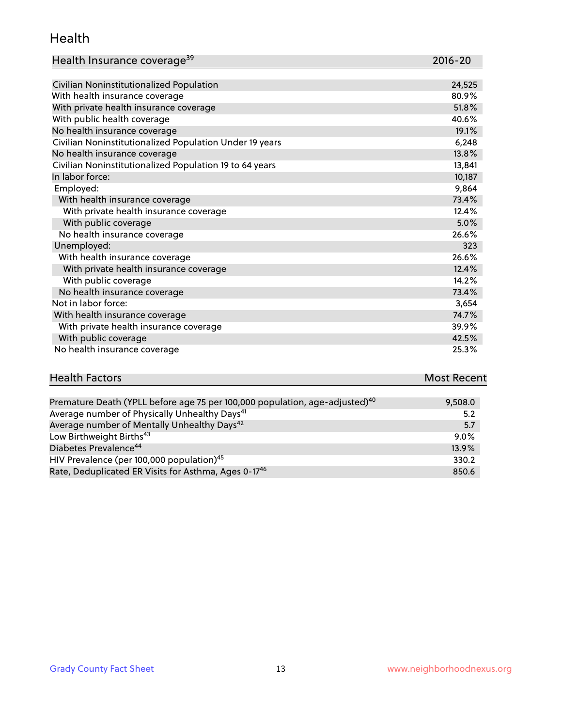#### Health

| Health Insurance coverage <sup>39</sup> | 2016-20 |
|-----------------------------------------|---------|
|-----------------------------------------|---------|

| Civilian Noninstitutionalized Population                | 24,525 |
|---------------------------------------------------------|--------|
| With health insurance coverage                          | 80.9%  |
| With private health insurance coverage                  | 51.8%  |
| With public health coverage                             | 40.6%  |
| No health insurance coverage                            | 19.1%  |
| Civilian Noninstitutionalized Population Under 19 years | 6,248  |
| No health insurance coverage                            | 13.8%  |
| Civilian Noninstitutionalized Population 19 to 64 years | 13,841 |
| In labor force:                                         | 10,187 |
| Employed:                                               | 9,864  |
| With health insurance coverage                          | 73.4%  |
| With private health insurance coverage                  | 12.4%  |
| With public coverage                                    | 5.0%   |
| No health insurance coverage                            | 26.6%  |
| Unemployed:                                             | 323    |
| With health insurance coverage                          | 26.6%  |
| With private health insurance coverage                  | 12.4%  |
| With public coverage                                    | 14.2%  |
| No health insurance coverage                            | 73.4%  |
| Not in labor force:                                     | 3,654  |
| With health insurance coverage                          | 74.7%  |
| With private health insurance coverage                  | 39.9%  |
| With public coverage                                    | 42.5%  |
| No health insurance coverage                            | 25.3%  |

| <b>Health Factors</b>                                                                    | <b>Most Recent</b> |
|------------------------------------------------------------------------------------------|--------------------|
|                                                                                          |                    |
| Promature Doath (VPLL before ago ZE per 100,000 population, ago, adjusted) <sup>40</sup> | Q EQQ Q            |

| Premature Death (YPLL before age 75 per 100,000 population, age-adjusted) <sup>40</sup> | 9,508.0 |
|-----------------------------------------------------------------------------------------|---------|
| Average number of Physically Unhealthy Days <sup>41</sup>                               | 5.2     |
| Average number of Mentally Unhealthy Days <sup>42</sup>                                 | 5.7     |
| Low Birthweight Births <sup>43</sup>                                                    | $9.0\%$ |
| Diabetes Prevalence <sup>44</sup>                                                       | 13.9%   |
| HIV Prevalence (per 100,000 population) <sup>45</sup>                                   | 330.2   |
| Rate, Deduplicated ER Visits for Asthma, Ages 0-1746                                    | 850.6   |